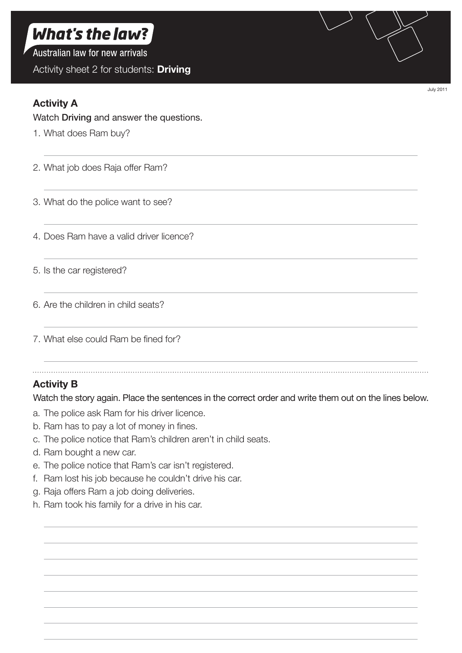# What's the law?

Australian law for new arrivals

Activity sheet 2 for students: **Driving**

### **Activity A**

#### Watch Driving and answer the questions.

1. What does Ram buy?

2. What job does Raja offer Ram?

- 3. What do the police want to see?
- 4. Does Ram have a valid driver licence?
- 5. Is the car registered?
- 6. Are the children in child seats?
- 7. What else could Ram be fined for?

## **Activity B**

Watch the story again. Place the sentences in the correct order and write them out on the lines below.

- a. The police ask Ram for his driver licence.
- b. Ram has to pay a lot of money in fines.
- c. The police notice that Ram's children aren't in child seats.
- d. Ram bought a new car.
- e. The police notice that Ram's car isn't registered.
- f. Ram lost his job because he couldn't drive his car.
- g. Raja offers Ram a job doing deliveries.
- h. Ram took his family for a drive in his car.